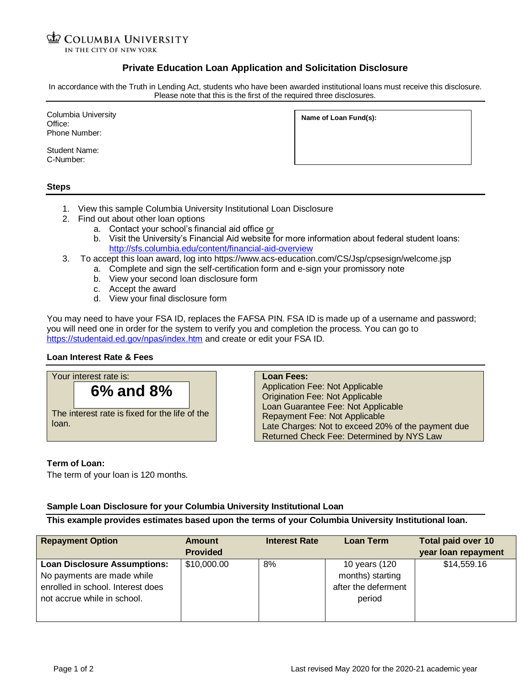#### **D** COLUMBIA UNIVERSITY IN THE CITY OF NEW YORK

# **Private Education Loan Application and Solicitation Disclosure**

In accordance with the Truth in Lending Act, students who have been awarded institutional loans must receive this disclosure. Please note that this is the first of the required three disclosures.

Columbia University Office: Phone Number:

Student Name: C-Number:

**Name of Loan Fund(s):**

### **Steps**

- 1. View this sample Columbia University Institutional Loan Disclosure
- 2. Find out about other loan options
	- a. Contact your school's financial aid office or
	- b. Visit the University's Financial Aid website for more information about federal student loans: <http://sfs.columbia.edu/content/financial-aid-overview>
- 3. To accept this loan award, log into https://www.acs-education.com/CS/Jsp/cpsesign/welcome.jsp
	- a. Complete and sign the self-certification form and e-sign your promissory note
		- b. View your second loan disclosure form
		- c. Accept the award

**6% and 8%**

The interest rate is fixed for the life of the

d. View your final disclosure form

You may need to have your FSA ID, replaces the FAFSA PIN. FSA ID is made up of a username and password; you will need one in order for the system to verify you and completion the process. You can go to <https://studentaid.ed.gov/npas/index.htm> and create or edit your FSA ID.

## **Loan Interest Rate & Fees**

Your interest rate is:

# **Loan Fees:**

Application Fee: Not Applicable Origination Fee: Not Applicable Loan Guarantee Fee: Not Applicable Repayment Fee: Not Applicable Late Charges: Not to exceed 20% of the payment due Returned Check Fee: Determined by NYS Law

#### **Term of Loan:**

loan.

The term of your loan is 120 months.

## **Sample Loan Disclosure for your Columbia University Institutional Loan**

**This example provides estimates based upon the terms of your Columbia University Institutional loan.**

| <b>Repayment Option</b>                                                                                                               | Amount<br><b>Provided</b> | <b>Interest Rate</b> | Loan Term                                                          | <b>Total paid over 10</b><br>year loan repayment |
|---------------------------------------------------------------------------------------------------------------------------------------|---------------------------|----------------------|--------------------------------------------------------------------|--------------------------------------------------|
| <b>Loan Disclosure Assumptions:</b><br>No payments are made while<br>enrolled in school. Interest does<br>not accrue while in school. | \$10,000.00               | 8%                   | 10 years (120<br>months) starting<br>after the deferment<br>period | \$14,559.16                                      |